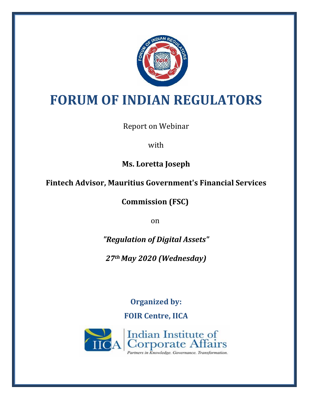

# **FORUM OF INDIAN REGULATORS**

Report on Webinar

with

**Ms. Loretta Joseph**

**Fintech Advisor, Mauritius Government's Financial Services** 

**Commission (FSC)**

on

*"Regulation of Digital Assets"*

*27th May 2020 (Wednesday)*

**Organized by: FOIR Centre, IICA**

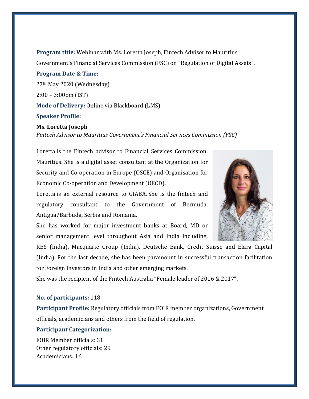**Program title:** Webinar with Ms. Loretta Joseph, Fintech Advisor to Mauritius Government's Financial Services Commission (FSC) on "Regulation of Digital Assets". **Program Date & Time:** 27th May 2020 (Wednesday) 2:00 – 3:00pm (IST) **Mode of Delivery:** Online via Blackboard (LMS)

### **Speaker Profile:**

#### **Ms. Loretta Joseph**

*Fintech Advisor to Mauritius Government's Financial Services Commission (FSC)*

Loretta is the Fintech advisor to Financial Services Commission, Mauritius. She is a digital asset consultant at the Organization for Security and Co-operation in Europe (OSCE) and Organisation for Economic Co-operation and Development (OECD).

Loretta is an external resource to GIABA. She is the fintech and regulatory consultant to the Government of Bermuda, Antigua/Barbuda, Serbia and Romania.

She has worked for major investment banks at Board, MD or senior management level throughout Asia and India including,

RBS (India), Macquarie Group (India), Deutsche Bank, Credit Suisse and Elara Capital (India). For the last decade, she has been paramount in successful transaction facilitation for Foreign Investors in India and other emerging markets.

She was the recipient of the Fintech Australia "Female leader of 2016 & 2017".

## **No. of participants:** 118

**Participant Profile:** Regulatory officials from FOIR member organizations, Government officials, academicians and others from the field of regulation.

## **Participant Categorization:**

FOIR Member officials: 31 Other regulatory officials: 29 Academicians: 16

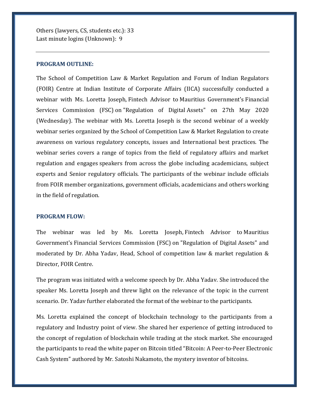Others (lawyers, CS, students etc.): 33 Last minute logins (Unknown): 9

#### **PROGRAM OUTLINE:**

The School of Competition Law & Market Regulation and Forum of Indian Regulators (FOIR) Centre at Indian Institute of Corporate Affairs (IICA) successfully conducted a webinar with Ms. Loretta Joseph, Fintech Advisor to Mauritius Government's Financial Services Commission (FSC) on "Regulation of Digital Assets" on 27th May 2020 (Wednesday). The webinar with Ms. Loretta Joseph is the second webinar of a weekly webinar series organized by the School of Competition Law & Market Regulation to create awareness on various regulatory concepts, issues and International best practices. The webinar series covers a range of topics from the field of regulatory affairs and market regulation and engages speakers from across the globe including academicians, subject experts and Senior regulatory officials. The participants of the webinar include officials from FOIR member organizations, government officials, academicians and others working in the field of regulation.

## **PROGRAM FLOW:**

The webinar was led by Ms. Loretta Joseph, Fintech Advisor to Mauritius Government's Financial Services Commission (FSC) on "Regulation of Digital Assets" and moderated by Dr. Abha Yadav, Head, School of competition law & market regulation & Director, FOIR Centre.

The program was initiated with a welcome speech by Dr. Abha Yadav. She introduced the speaker Ms. Loretta Joseph and threw light on the relevance of the topic in the current scenario. Dr. Yadav further elaborated the format of the webinar to the participants.

Ms. Loretta explained the concept of blockchain technology to the participants from a regulatory and Industry point of view. She shared her experience of getting introduced to the concept of regulation of blockchain while trading at the stock market. She encouraged the participants to read the white paper on Bitcoin titled "Bitcoin: A Peer-to-Peer Electronic Cash System" authored by Mr. Satoshi Nakamoto, the mystery inventor of bitcoins.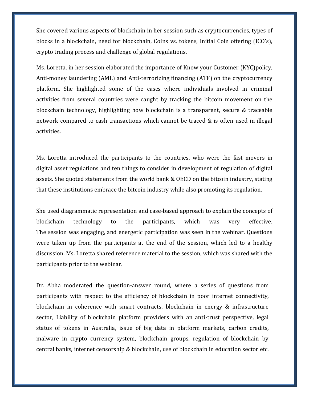She covered various aspects of blockchain in her session such as cryptocurrencies, types of blocks in a blockchain, need for blockchain, Coins vs. tokens, Initial Coin offering (ICO's), crypto trading process and challenge of global regulations.

Ms. Loretta, in her session elaborated the importance of Know your Customer (KYC)policy, Anti-money laundering (AML) and Anti-terrorizing financing (ATF) on the cryptocurrency platform. She highlighted some of the cases where individuals involved in criminal activities from several countries were caught by tracking the bitcoin movement on the blockchain technology, highlighting how blockchain is a transparent, secure & traceable network compared to cash transactions which cannot be traced & is often used in illegal activities.

Ms. Loretta introduced the participants to the countries, who were the fast movers in digital asset regulations and ten things to consider in development of regulation of digital assets. She quoted statements from the world bank & OECD on the bitcoin industry, stating that these institutions embrace the bitcoin industry while also promoting its regulation.

She used diagrammatic representation and case-based approach to explain the concepts of blockchain technology to the participants, which was very effective. The session was engaging, and energetic participation was seen in the webinar. Questions were taken up from the participants at the end of the session, which led to a healthy discussion. Ms. Loretta shared reference material to the session, which was shared with the participants prior to the webinar.

Dr. Abha moderated the question-answer round, where a series of questions from participants with respect to the efficiency of blockchain in poor internet connectivity, blockchain in coherence with smart contracts, blockchain in energy & infrastructure sector, Liability of blockchain platform providers with an anti-trust perspective, legal status of tokens in Australia, issue of big data in platform markets, carbon credits, malware in crypto currency system, blockchain groups, regulation of blockchain by central banks, internet censorship & blockchain, use of blockchain in education sector etc.